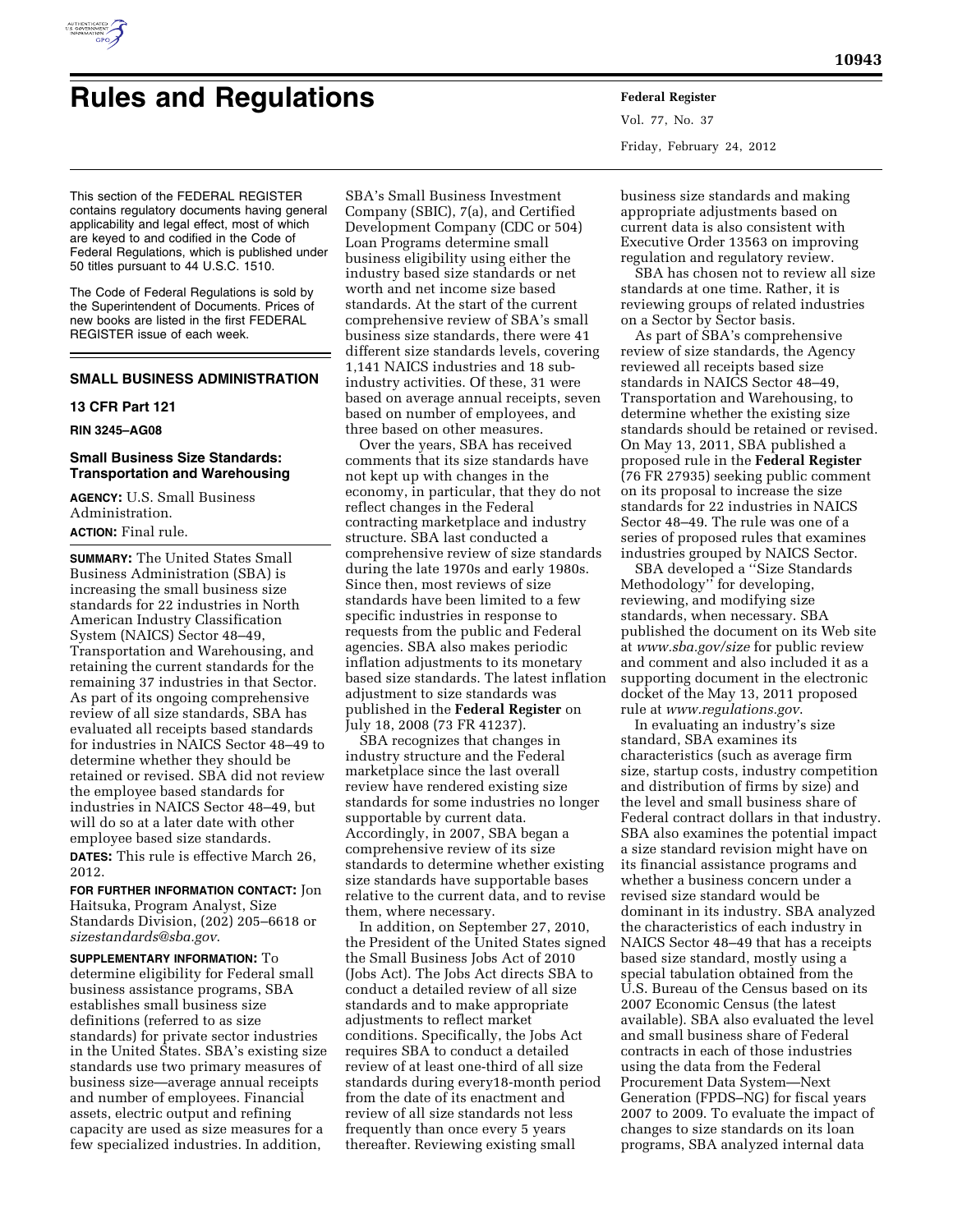

# **Rules and Regulations Federal Register**

This section of the FEDERAL REGISTER contains regulatory documents having general applicability and legal effect, most of which are keyed to and codified in the Code of Federal Regulations, which is published under 50 titles pursuant to 44 U.S.C. 1510.

The Code of Federal Regulations is sold by the Superintendent of Documents. Prices of new books are listed in the first FEDERAL REGISTER issue of each week.

# **SMALL BUSINESS ADMINISTRATION**

#### **13 CFR Part 121**

### **RIN 3245–AG08**

## **Small Business Size Standards: Transportation and Warehousing**

**AGENCY:** U.S. Small Business Administration. **ACTION:** Final rule.

# **SUMMARY:** The United States Small Business Administration (SBA) is increasing the small business size standards for 22 industries in North American Industry Classification System (NAICS) Sector 48–49, Transportation and Warehousing, and retaining the current standards for the remaining 37 industries in that Sector. As part of its ongoing comprehensive review of all size standards, SBA has evaluated all receipts based standards for industries in NAICS Sector 48–49 to determine whether they should be retained or revised. SBA did not review the employee based standards for industries in NAICS Sector 48–49, but will do so at a later date with other

employee based size standards. **DATES:** This rule is effective March 26, 2012.

**FOR FURTHER INFORMATION CONTACT:** Jon Haitsuka, Program Analyst, Size Standards Division, (202) 205–6618 or *[sizestandards@sba.gov](mailto:sizestandards@sba.gov)*.

**SUPPLEMENTARY INFORMATION:** To determine eligibility for Federal small business assistance programs, SBA establishes small business size definitions (referred to as size standards) for private sector industries in the United States. SBA's existing size standards use two primary measures of business size—average annual receipts and number of employees. Financial assets, electric output and refining capacity are used as size measures for a few specialized industries. In addition,

SBA's Small Business Investment Company (SBIC), 7(a), and Certified Development Company (CDC or 504) Loan Programs determine small business eligibility using either the industry based size standards or net worth and net income size based standards. At the start of the current comprehensive review of SBA's small business size standards, there were 41 different size standards levels, covering 1,141 NAICS industries and 18 subindustry activities. Of these, 31 were based on average annual receipts, seven based on number of employees, and three based on other measures.

Over the years, SBA has received comments that its size standards have not kept up with changes in the economy, in particular, that they do not reflect changes in the Federal contracting marketplace and industry structure. SBA last conducted a comprehensive review of size standards during the late 1970s and early 1980s. Since then, most reviews of size standards have been limited to a few specific industries in response to requests from the public and Federal agencies. SBA also makes periodic inflation adjustments to its monetary based size standards. The latest inflation adjustment to size standards was published in the **Federal Register** on July 18, 2008 (73 FR 41237).

SBA recognizes that changes in industry structure and the Federal marketplace since the last overall review have rendered existing size standards for some industries no longer supportable by current data. Accordingly, in 2007, SBA began a comprehensive review of its size standards to determine whether existing size standards have supportable bases relative to the current data, and to revise them, where necessary.

In addition, on September 27, 2010, the President of the United States signed the Small Business Jobs Act of 2010 (Jobs Act). The Jobs Act directs SBA to conduct a detailed review of all size standards and to make appropriate adjustments to reflect market conditions. Specifically, the Jobs Act requires SBA to conduct a detailed review of at least one-third of all size standards during every18-month period from the date of its enactment and review of all size standards not less frequently than once every 5 years thereafter. Reviewing existing small

Vol. 77, No. 37 Friday, February 24, 2012

business size standards and making appropriate adjustments based on current data is also consistent with Executive Order 13563 on improving regulation and regulatory review.

SBA has chosen not to review all size standards at one time. Rather, it is reviewing groups of related industries on a Sector by Sector basis.

As part of SBA's comprehensive review of size standards, the Agency reviewed all receipts based size standards in NAICS Sector 48–49, Transportation and Warehousing, to determine whether the existing size standards should be retained or revised. On May 13, 2011, SBA published a proposed rule in the **Federal Register**  (76 FR 27935) seeking public comment on its proposal to increase the size standards for 22 industries in NAICS Sector 48–49. The rule was one of a series of proposed rules that examines industries grouped by NAICS Sector.

SBA developed a ''Size Standards Methodology'' for developing, reviewing, and modifying size standards, when necessary. SBA published the document on its Web site at *[www.sba.gov/size](http://www.sba.gov/size)* for public review and comment and also included it as a supporting document in the electronic docket of the May 13, 2011 proposed rule at *[www.regulations.gov](http://www.regulations.gov)*.

In evaluating an industry's size standard, SBA examines its characteristics (such as average firm size, startup costs, industry competition and distribution of firms by size) and the level and small business share of Federal contract dollars in that industry. SBA also examines the potential impact a size standard revision might have on its financial assistance programs and whether a business concern under a revised size standard would be dominant in its industry. SBA analyzed the characteristics of each industry in NAICS Sector 48–49 that has a receipts based size standard, mostly using a special tabulation obtained from the U.S. Bureau of the Census based on its 2007 Economic Census (the latest available). SBA also evaluated the level and small business share of Federal contracts in each of those industries using the data from the Federal Procurement Data System—Next Generation (FPDS–NG) for fiscal years 2007 to 2009. To evaluate the impact of changes to size standards on its loan programs, SBA analyzed internal data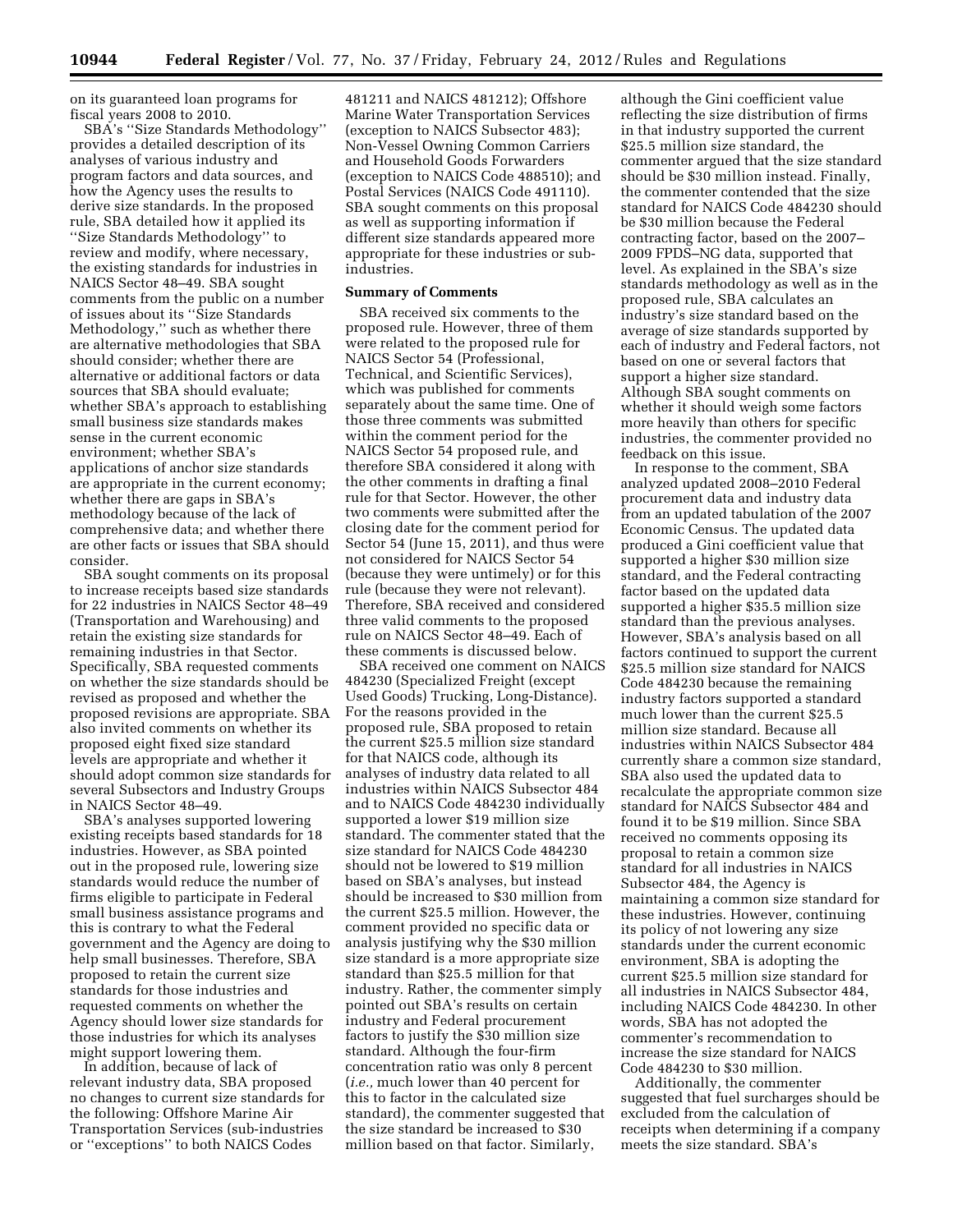on its guaranteed loan programs for fiscal years 2008 to 2010.

SBA's ''Size Standards Methodology'' provides a detailed description of its analyses of various industry and program factors and data sources, and how the Agency uses the results to derive size standards. In the proposed rule, SBA detailed how it applied its ''Size Standards Methodology'' to review and modify, where necessary, the existing standards for industries in NAICS Sector 48–49. SBA sought comments from the public on a number of issues about its ''Size Standards Methodology,'' such as whether there are alternative methodologies that SBA should consider; whether there are alternative or additional factors or data sources that SBA should evaluate; whether SBA's approach to establishing small business size standards makes sense in the current economic environment; whether SBA's applications of anchor size standards are appropriate in the current economy; whether there are gaps in SBA's methodology because of the lack of comprehensive data; and whether there are other facts or issues that SBA should consider.

SBA sought comments on its proposal to increase receipts based size standards for 22 industries in NAICS Sector 48–49 (Transportation and Warehousing) and retain the existing size standards for remaining industries in that Sector. Specifically, SBA requested comments on whether the size standards should be revised as proposed and whether the proposed revisions are appropriate. SBA also invited comments on whether its proposed eight fixed size standard levels are appropriate and whether it should adopt common size standards for several Subsectors and Industry Groups in NAICS Sector 48–49.

SBA's analyses supported lowering existing receipts based standards for 18 industries. However, as SBA pointed out in the proposed rule, lowering size standards would reduce the number of firms eligible to participate in Federal small business assistance programs and this is contrary to what the Federal government and the Agency are doing to help small businesses. Therefore, SBA proposed to retain the current size standards for those industries and requested comments on whether the Agency should lower size standards for those industries for which its analyses might support lowering them.

In addition, because of lack of relevant industry data, SBA proposed no changes to current size standards for the following: Offshore Marine Air Transportation Services (sub-industries or ''exceptions'' to both NAICS Codes

481211 and NAICS 481212); Offshore Marine Water Transportation Services (exception to NAICS Subsector 483); Non-Vessel Owning Common Carriers and Household Goods Forwarders (exception to NAICS Code 488510); and Postal Services (NAICS Code 491110). SBA sought comments on this proposal as well as supporting information if different size standards appeared more appropriate for these industries or subindustries.

## **Summary of Comments**

SBA received six comments to the proposed rule. However, three of them were related to the proposed rule for NAICS Sector 54 (Professional, Technical, and Scientific Services), which was published for comments separately about the same time. One of those three comments was submitted within the comment period for the NAICS Sector 54 proposed rule, and therefore SBA considered it along with the other comments in drafting a final rule for that Sector. However, the other two comments were submitted after the closing date for the comment period for Sector 54 (June 15, 2011), and thus were not considered for NAICS Sector 54 (because they were untimely) or for this rule (because they were not relevant). Therefore, SBA received and considered three valid comments to the proposed rule on NAICS Sector 48–49. Each of these comments is discussed below.

SBA received one comment on NAICS 484230 (Specialized Freight (except Used Goods) Trucking, Long-Distance). For the reasons provided in the proposed rule, SBA proposed to retain the current \$25.5 million size standard for that NAICS code, although its analyses of industry data related to all industries within NAICS Subsector 484 and to NAICS Code 484230 individually supported a lower \$19 million size standard. The commenter stated that the size standard for NAICS Code 484230 should not be lowered to \$19 million based on SBA's analyses, but instead should be increased to \$30 million from the current \$25.5 million. However, the comment provided no specific data or analysis justifying why the \$30 million size standard is a more appropriate size standard than \$25.5 million for that industry. Rather, the commenter simply pointed out SBA's results on certain industry and Federal procurement factors to justify the \$30 million size standard. Although the four-firm concentration ratio was only 8 percent (*i.e.,* much lower than 40 percent for this to factor in the calculated size standard), the commenter suggested that the size standard be increased to \$30 million based on that factor. Similarly,

although the Gini coefficient value reflecting the size distribution of firms in that industry supported the current \$25.5 million size standard, the commenter argued that the size standard should be \$30 million instead. Finally, the commenter contended that the size standard for NAICS Code 484230 should be \$30 million because the Federal contracting factor, based on the 2007– 2009 FPDS–NG data, supported that level. As explained in the SBA's size standards methodology as well as in the proposed rule, SBA calculates an industry's size standard based on the average of size standards supported by each of industry and Federal factors, not based on one or several factors that support a higher size standard. Although SBA sought comments on whether it should weigh some factors more heavily than others for specific industries, the commenter provided no feedback on this issue.

In response to the comment, SBA analyzed updated 2008–2010 Federal procurement data and industry data from an updated tabulation of the 2007 Economic Census. The updated data produced a Gini coefficient value that supported a higher \$30 million size standard, and the Federal contracting factor based on the updated data supported a higher \$35.5 million size standard than the previous analyses. However, SBA's analysis based on all factors continued to support the current \$25.5 million size standard for NAICS Code 484230 because the remaining industry factors supported a standard much lower than the current \$25.5 million size standard. Because all industries within NAICS Subsector 484 currently share a common size standard, SBA also used the updated data to recalculate the appropriate common size standard for NAICS Subsector 484 and found it to be \$19 million. Since SBA received no comments opposing its proposal to retain a common size standard for all industries in NAICS Subsector 484, the Agency is maintaining a common size standard for these industries. However, continuing its policy of not lowering any size standards under the current economic environment, SBA is adopting the current \$25.5 million size standard for all industries in NAICS Subsector 484, including NAICS Code 484230. In other words, SBA has not adopted the commenter's recommendation to increase the size standard for NAICS Code 484230 to \$30 million.

Additionally, the commenter suggested that fuel surcharges should be excluded from the calculation of receipts when determining if a company meets the size standard. SBA's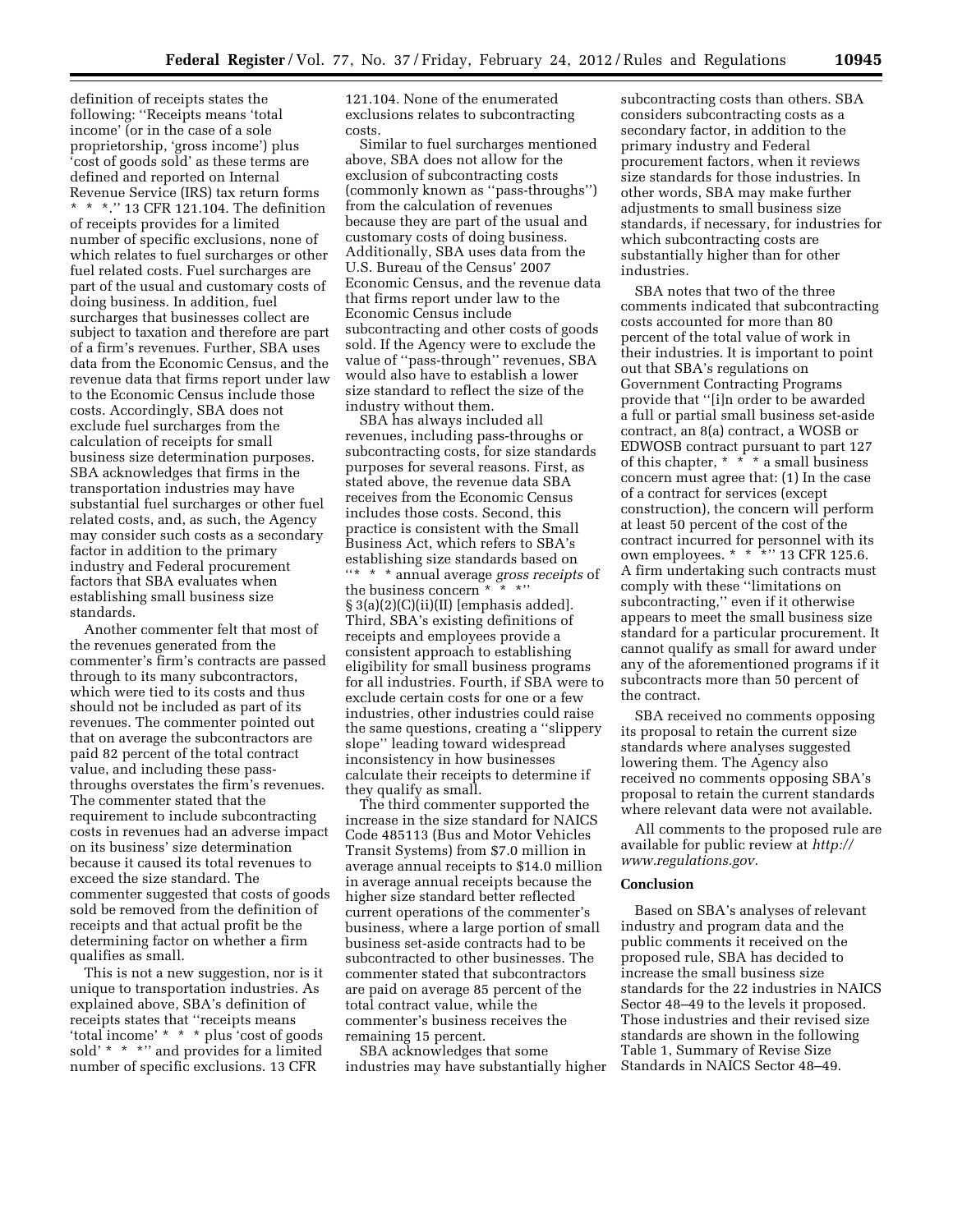definition of receipts states the following: ''Receipts means 'total income' (or in the case of a sole proprietorship, 'gross income') plus 'cost of goods sold' as these terms are defined and reported on Internal Revenue Service (IRS) tax return forms \* \* \*.'' 13 CFR 121.104. The definition of receipts provides for a limited number of specific exclusions, none of which relates to fuel surcharges or other fuel related costs. Fuel surcharges are part of the usual and customary costs of doing business. In addition, fuel surcharges that businesses collect are subject to taxation and therefore are part of a firm's revenues. Further, SBA uses data from the Economic Census, and the revenue data that firms report under law to the Economic Census include those costs. Accordingly, SBA does not exclude fuel surcharges from the calculation of receipts for small business size determination purposes. SBA acknowledges that firms in the transportation industries may have substantial fuel surcharges or other fuel related costs, and, as such, the Agency may consider such costs as a secondary factor in addition to the primary industry and Federal procurement factors that SBA evaluates when establishing small business size standards.

Another commenter felt that most of the revenues generated from the commenter's firm's contracts are passed through to its many subcontractors, which were tied to its costs and thus should not be included as part of its revenues. The commenter pointed out that on average the subcontractors are paid 82 percent of the total contract value, and including these passthroughs overstates the firm's revenues. The commenter stated that the requirement to include subcontracting costs in revenues had an adverse impact on its business' size determination because it caused its total revenues to exceed the size standard. The commenter suggested that costs of goods sold be removed from the definition of receipts and that actual profit be the determining factor on whether a firm qualifies as small.

This is not a new suggestion, nor is it unique to transportation industries. As explained above, SBA's definition of receipts states that ''receipts means 'total income' \* \* \* plus 'cost of goods sold' \* \* \*'' and provides for a limited number of specific exclusions. 13 CFR

121.104. None of the enumerated exclusions relates to subcontracting costs.

Similar to fuel surcharges mentioned above, SBA does not allow for the exclusion of subcontracting costs (commonly known as ''pass-throughs'') from the calculation of revenues because they are part of the usual and customary costs of doing business. Additionally, SBA uses data from the U.S. Bureau of the Census' 2007 Economic Census, and the revenue data that firms report under law to the Economic Census include subcontracting and other costs of goods sold. If the Agency were to exclude the value of ''pass-through'' revenues, SBA would also have to establish a lower size standard to reflect the size of the industry without them.

SBA has always included all revenues, including pass-throughs or subcontracting costs, for size standards purposes for several reasons. First, as stated above, the revenue data SBA receives from the Economic Census includes those costs. Second, this practice is consistent with the Small Business Act, which refers to SBA's establishing size standards based on ''\* \* \* annual average *gross receipts* of the business concern \* \* \*'' § 3(a)(2)(C)(ii)(II) [emphasis added]. Third, SBA's existing definitions of receipts and employees provide a consistent approach to establishing eligibility for small business programs for all industries. Fourth, if SBA were to exclude certain costs for one or a few industries, other industries could raise the same questions, creating a ''slippery slope'' leading toward widespread inconsistency in how businesses calculate their receipts to determine if they qualify as small.

The third commenter supported the increase in the size standard for NAICS Code 485113 (Bus and Motor Vehicles Transit Systems) from \$7.0 million in average annual receipts to \$14.0 million in average annual receipts because the higher size standard better reflected current operations of the commenter's business, where a large portion of small business set-aside contracts had to be subcontracted to other businesses. The commenter stated that subcontractors are paid on average 85 percent of the total contract value, while the commenter's business receives the remaining 15 percent.

SBA acknowledges that some industries may have substantially higher subcontracting costs than others. SBA considers subcontracting costs as a secondary factor, in addition to the primary industry and Federal procurement factors, when it reviews size standards for those industries. In other words, SBA may make further adjustments to small business size standards, if necessary, for industries for which subcontracting costs are substantially higher than for other industries.

SBA notes that two of the three comments indicated that subcontracting costs accounted for more than 80 percent of the total value of work in their industries. It is important to point out that SBA's regulations on Government Contracting Programs provide that ''[i]n order to be awarded a full or partial small business set-aside contract, an 8(a) contract, a WOSB or EDWOSB contract pursuant to part 127 of this chapter, \* \* \* a small business concern must agree that: (1) In the case of a contract for services (except construction), the concern will perform at least 50 percent of the cost of the contract incurred for personnel with its own employees. \* \* \* \* '' 13 CFR 125.6. A firm undertaking such contracts must comply with these ''limitations on subcontracting,'' even if it otherwise appears to meet the small business size standard for a particular procurement. It cannot qualify as small for award under any of the aforementioned programs if it subcontracts more than 50 percent of the contract.

SBA received no comments opposing its proposal to retain the current size standards where analyses suggested lowering them. The Agency also received no comments opposing SBA's proposal to retain the current standards where relevant data were not available.

All comments to the proposed rule are available for public review at *[http://](http://www.regulations.gov) [www.regulations.gov.](http://www.regulations.gov)* 

### **Conclusion**

Based on SBA's analyses of relevant industry and program data and the public comments it received on the proposed rule, SBA has decided to increase the small business size standards for the 22 industries in NAICS Sector 48–49 to the levels it proposed. Those industries and their revised size standards are shown in the following Table 1, Summary of Revise Size Standards in NAICS Sector 48–49.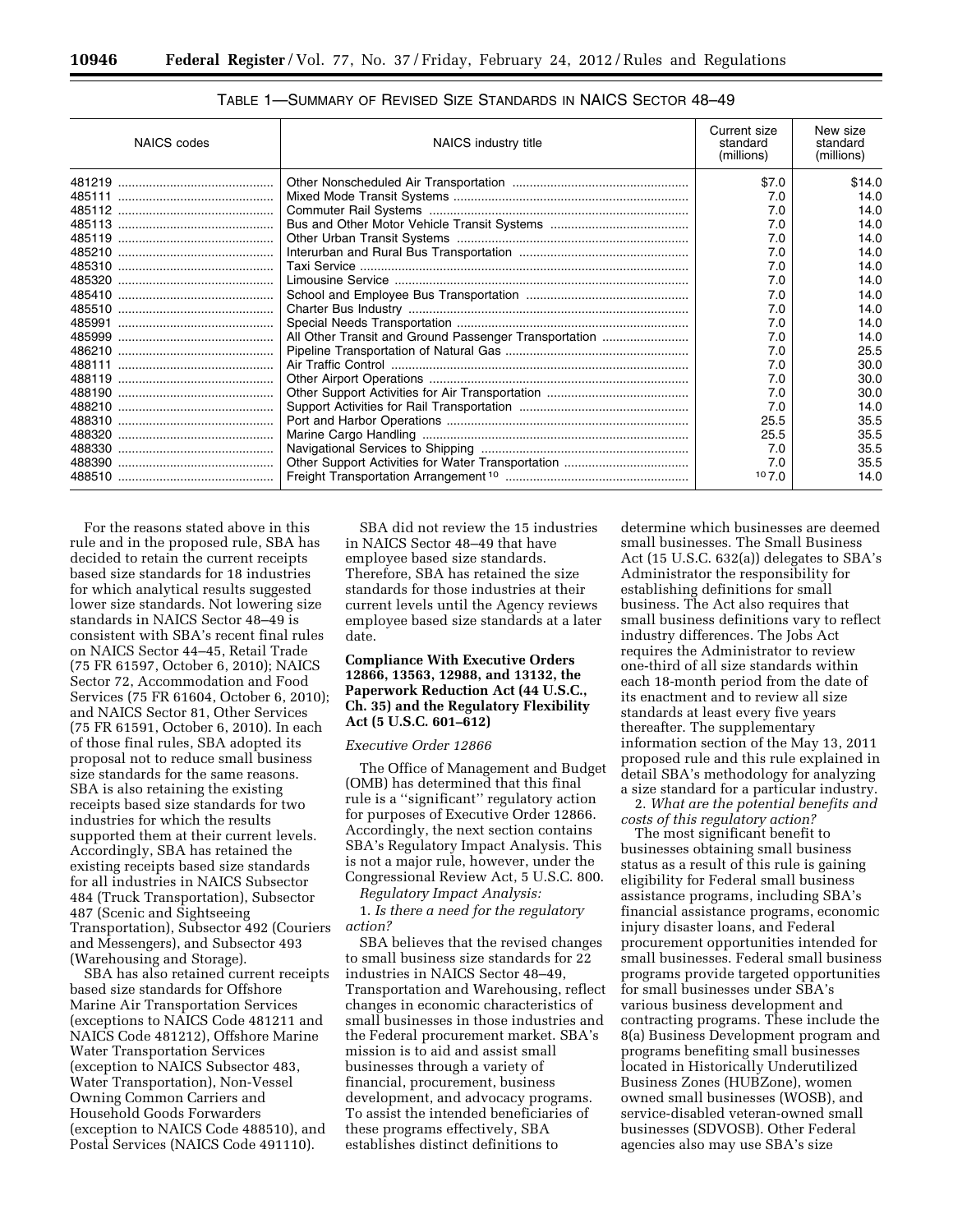| Table 1—Summary of Revised Size Standards in NAICS Sector 48—49 |  |
|-----------------------------------------------------------------|--|
|-----------------------------------------------------------------|--|

| <b>NAICS</b> codes | Current size<br>standard<br>(millions)                | New size<br>standard<br>(millions) |        |
|--------------------|-------------------------------------------------------|------------------------------------|--------|
|                    |                                                       | \$7.0                              | \$14.0 |
|                    |                                                       | 7.0                                | 14.0   |
|                    |                                                       | 7.0                                | 14.0   |
|                    |                                                       | 7.0                                | 14.0   |
|                    |                                                       | 7.0                                | 14.0   |
|                    |                                                       | 7.0                                | 14.0   |
|                    |                                                       | 7.0                                | 14.0   |
|                    |                                                       | 7.0                                | 14.0   |
|                    |                                                       | 7.0                                | 14.0   |
|                    |                                                       | 7.0                                | 14.0   |
|                    |                                                       | 7.0                                | 14.0   |
|                    | All Other Transit and Ground Passenger Transportation | 7.0                                | 14.0   |
|                    |                                                       | 7.0                                | 25.5   |
|                    |                                                       | 7.0                                | 30.0   |
|                    |                                                       | 7.0                                | 30.0   |
|                    |                                                       | 7.0                                | 30.0   |
|                    |                                                       | 7.0                                | 14.0   |
|                    |                                                       | 25.5                               | 35.5   |
|                    |                                                       | 25.5                               | 35.5   |
|                    |                                                       | 7.0                                | 35.5   |
|                    |                                                       | 7.0                                | 35.5   |
|                    |                                                       | 107.0                              | 14.0   |

For the reasons stated above in this rule and in the proposed rule, SBA has decided to retain the current receipts based size standards for 18 industries for which analytical results suggested lower size standards. Not lowering size standards in NAICS Sector 48–49 is consistent with SBA's recent final rules on NAICS Sector 44–45, Retail Trade (75 FR 61597, October 6, 2010); NAICS Sector 72, Accommodation and Food Services (75 FR 61604, October 6, 2010); and NAICS Sector 81, Other Services (75 FR 61591, October 6, 2010). In each of those final rules, SBA adopted its proposal not to reduce small business size standards for the same reasons. SBA is also retaining the existing receipts based size standards for two industries for which the results supported them at their current levels. Accordingly, SBA has retained the existing receipts based size standards for all industries in NAICS Subsector 484 (Truck Transportation), Subsector 487 (Scenic and Sightseeing Transportation), Subsector 492 (Couriers and Messengers), and Subsector 493 (Warehousing and Storage).

SBA has also retained current receipts based size standards for Offshore Marine Air Transportation Services (exceptions to NAICS Code 481211 and NAICS Code 481212), Offshore Marine Water Transportation Services (exception to NAICS Subsector 483, Water Transportation), Non-Vessel Owning Common Carriers and Household Goods Forwarders (exception to NAICS Code 488510), and Postal Services (NAICS Code 491110).

SBA did not review the 15 industries in NAICS Sector 48–49 that have employee based size standards. Therefore, SBA has retained the size standards for those industries at their current levels until the Agency reviews employee based size standards at a later date.

## **Compliance With Executive Orders 12866, 13563, 12988, and 13132, the Paperwork Reduction Act (44 U.S.C., Ch. 35) and the Regulatory Flexibility Act (5 U.S.C. 601–612)**

## *Executive Order 12866*

The Office of Management and Budget (OMB) has determined that this final rule is a ''significant'' regulatory action for purposes of Executive Order 12866. Accordingly, the next section contains SBA's Regulatory Impact Analysis. This is not a major rule, however, under the Congressional Review Act, 5 U.S.C. 800.

*Regulatory Impact Analysis:* 

1. *Is there a need for the regulatory action?* 

SBA believes that the revised changes to small business size standards for 22 industries in NAICS Sector 48–49, Transportation and Warehousing, reflect changes in economic characteristics of small businesses in those industries and the Federal procurement market. SBA's mission is to aid and assist small businesses through a variety of financial, procurement, business development, and advocacy programs. To assist the intended beneficiaries of these programs effectively, SBA establishes distinct definitions to

determine which businesses are deemed small businesses. The Small Business Act (15 U.S.C. 632(a)) delegates to SBA's Administrator the responsibility for establishing definitions for small business. The Act also requires that small business definitions vary to reflect industry differences. The Jobs Act requires the Administrator to review one-third of all size standards within each 18-month period from the date of its enactment and to review all size standards at least every five years thereafter. The supplementary information section of the May 13, 2011 proposed rule and this rule explained in detail SBA's methodology for analyzing a size standard for a particular industry.

2. *What are the potential benefits and costs of this regulatory action?* 

The most significant benefit to businesses obtaining small business status as a result of this rule is gaining eligibility for Federal small business assistance programs, including SBA's financial assistance programs, economic injury disaster loans, and Federal procurement opportunities intended for small businesses. Federal small business programs provide targeted opportunities for small businesses under SBA's various business development and contracting programs. These include the 8(a) Business Development program and programs benefiting small businesses located in Historically Underutilized Business Zones (HUBZone), women owned small businesses (WOSB), and service-disabled veteran-owned small businesses (SDVOSB). Other Federal agencies also may use SBA's size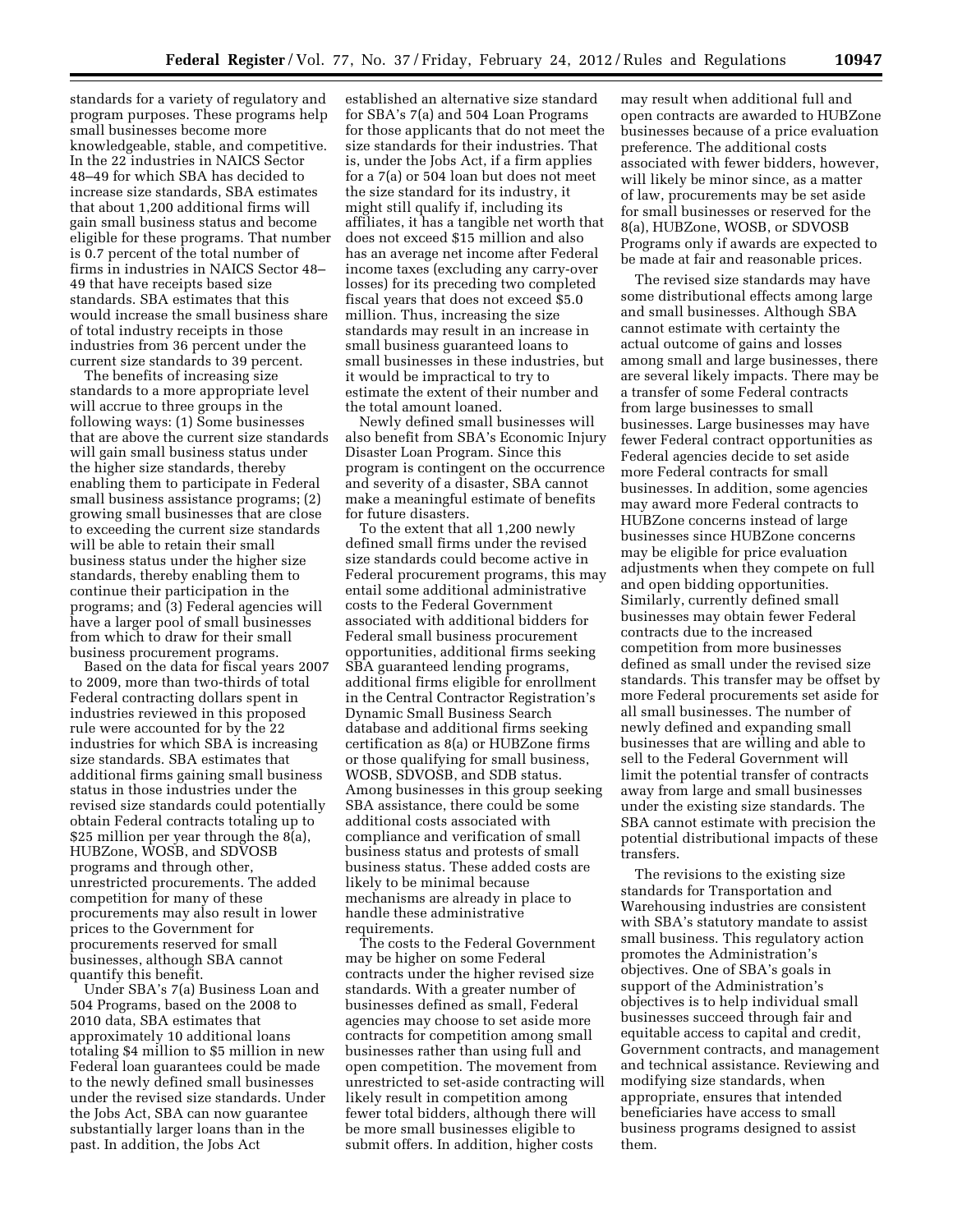standards for a variety of regulatory and program purposes. These programs help small businesses become more knowledgeable, stable, and competitive. In the 22 industries in NAICS Sector 48–49 for which SBA has decided to increase size standards, SBA estimates that about 1,200 additional firms will gain small business status and become eligible for these programs. That number is 0.7 percent of the total number of firms in industries in NAICS Sector 48– 49 that have receipts based size standards. SBA estimates that this would increase the small business share of total industry receipts in those industries from 36 percent under the current size standards to 39 percent.

The benefits of increasing size standards to a more appropriate level will accrue to three groups in the following ways: (1) Some businesses that are above the current size standards will gain small business status under the higher size standards, thereby enabling them to participate in Federal small business assistance programs; (2) growing small businesses that are close to exceeding the current size standards will be able to retain their small business status under the higher size standards, thereby enabling them to continue their participation in the programs; and (3) Federal agencies will have a larger pool of small businesses from which to draw for their small business procurement programs.

Based on the data for fiscal years 2007 to 2009, more than two-thirds of total Federal contracting dollars spent in industries reviewed in this proposed rule were accounted for by the 22 industries for which SBA is increasing size standards. SBA estimates that additional firms gaining small business status in those industries under the revised size standards could potentially obtain Federal contracts totaling up to \$25 million per year through the 8(a), HUBZone, WOSB, and SDVOSB programs and through other, unrestricted procurements. The added competition for many of these procurements may also result in lower prices to the Government for procurements reserved for small businesses, although SBA cannot quantify this benefit.

Under SBA's 7(a) Business Loan and 504 Programs, based on the 2008 to 2010 data, SBA estimates that approximately 10 additional loans totaling \$4 million to \$5 million in new Federal loan guarantees could be made to the newly defined small businesses under the revised size standards. Under the Jobs Act, SBA can now guarantee substantially larger loans than in the past. In addition, the Jobs Act

established an alternative size standard for SBA's 7(a) and 504 Loan Programs for those applicants that do not meet the size standards for their industries. That is, under the Jobs Act, if a firm applies for a 7(a) or 504 loan but does not meet the size standard for its industry, it might still qualify if, including its affiliates, it has a tangible net worth that does not exceed \$15 million and also has an average net income after Federal income taxes (excluding any carry-over losses) for its preceding two completed fiscal years that does not exceed \$5.0 million. Thus, increasing the size standards may result in an increase in small business guaranteed loans to small businesses in these industries, but it would be impractical to try to estimate the extent of their number and the total amount loaned.

Newly defined small businesses will also benefit from SBA's Economic Injury Disaster Loan Program. Since this program is contingent on the occurrence and severity of a disaster, SBA cannot make a meaningful estimate of benefits for future disasters.

To the extent that all 1,200 newly defined small firms under the revised size standards could become active in Federal procurement programs, this may entail some additional administrative costs to the Federal Government associated with additional bidders for Federal small business procurement opportunities, additional firms seeking SBA guaranteed lending programs, additional firms eligible for enrollment in the Central Contractor Registration's Dynamic Small Business Search database and additional firms seeking certification as 8(a) or HUBZone firms or those qualifying for small business, WOSB, SDVOSB, and SDB status. Among businesses in this group seeking SBA assistance, there could be some additional costs associated with compliance and verification of small business status and protests of small business status. These added costs are likely to be minimal because mechanisms are already in place to handle these administrative requirements.

The costs to the Federal Government may be higher on some Federal contracts under the higher revised size standards. With a greater number of businesses defined as small, Federal agencies may choose to set aside more contracts for competition among small businesses rather than using full and open competition. The movement from unrestricted to set-aside contracting will likely result in competition among fewer total bidders, although there will be more small businesses eligible to submit offers. In addition, higher costs

may result when additional full and open contracts are awarded to HUBZone businesses because of a price evaluation preference. The additional costs associated with fewer bidders, however, will likely be minor since, as a matter of law, procurements may be set aside for small businesses or reserved for the 8(a), HUBZone, WOSB, or SDVOSB Programs only if awards are expected to be made at fair and reasonable prices.

The revised size standards may have some distributional effects among large and small businesses. Although SBA cannot estimate with certainty the actual outcome of gains and losses among small and large businesses, there are several likely impacts. There may be a transfer of some Federal contracts from large businesses to small businesses. Large businesses may have fewer Federal contract opportunities as Federal agencies decide to set aside more Federal contracts for small businesses. In addition, some agencies may award more Federal contracts to HUBZone concerns instead of large businesses since HUBZone concerns may be eligible for price evaluation adjustments when they compete on full and open bidding opportunities. Similarly, currently defined small businesses may obtain fewer Federal contracts due to the increased competition from more businesses defined as small under the revised size standards. This transfer may be offset by more Federal procurements set aside for all small businesses. The number of newly defined and expanding small businesses that are willing and able to sell to the Federal Government will limit the potential transfer of contracts away from large and small businesses under the existing size standards. The SBA cannot estimate with precision the potential distributional impacts of these transfers.

The revisions to the existing size standards for Transportation and Warehousing industries are consistent with SBA's statutory mandate to assist small business. This regulatory action promotes the Administration's objectives. One of SBA's goals in support of the Administration's objectives is to help individual small businesses succeed through fair and equitable access to capital and credit, Government contracts, and management and technical assistance. Reviewing and modifying size standards, when appropriate, ensures that intended beneficiaries have access to small business programs designed to assist them.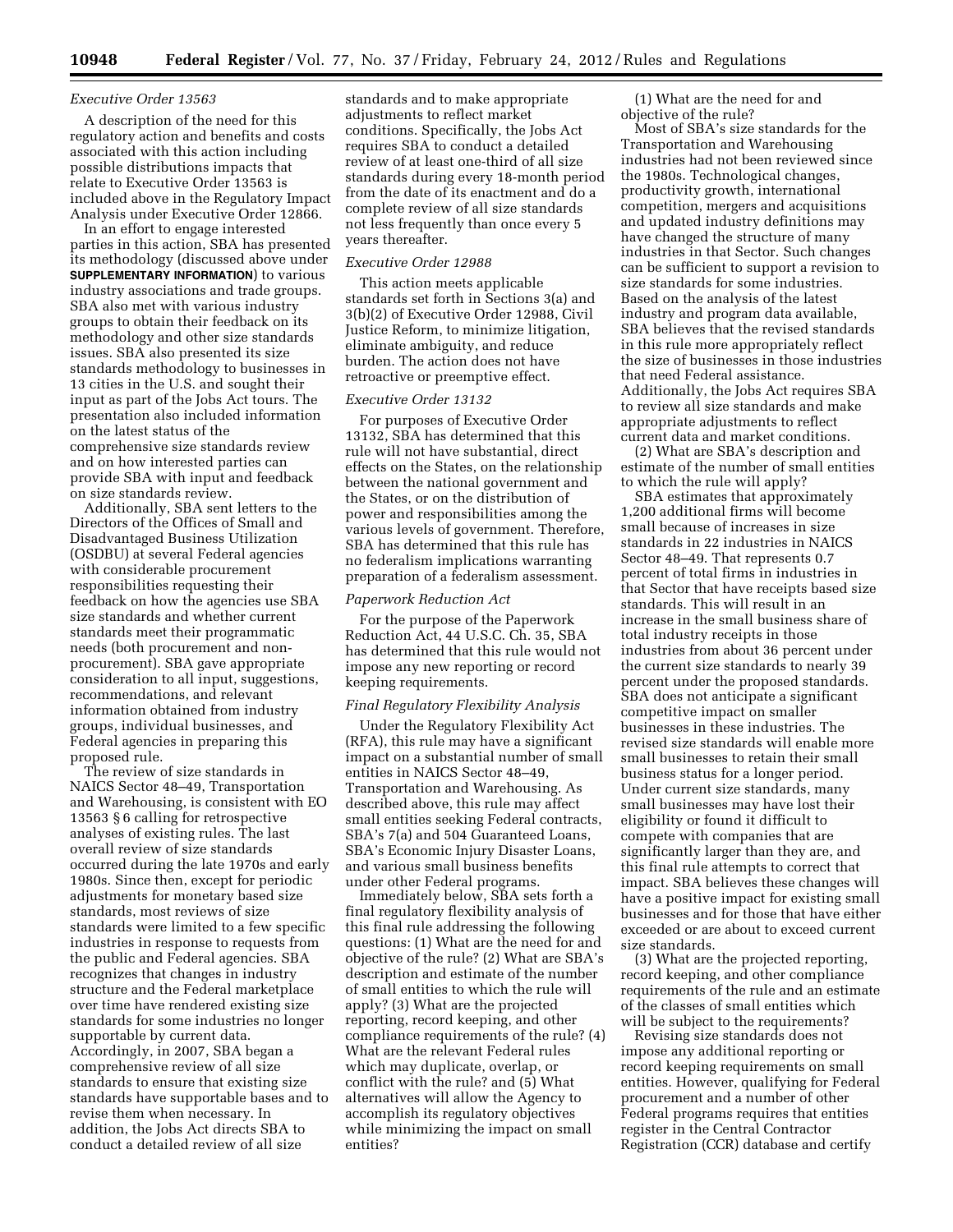### *Executive Order 13563*

A description of the need for this regulatory action and benefits and costs associated with this action including possible distributions impacts that relate to Executive Order 13563 is included above in the Regulatory Impact Analysis under Executive Order 12866.

In an effort to engage interested parties in this action, SBA has presented its methodology (discussed above under **SUPPLEMENTARY INFORMATION**) to various industry associations and trade groups. SBA also met with various industry groups to obtain their feedback on its methodology and other size standards issues. SBA also presented its size standards methodology to businesses in 13 cities in the U.S. and sought their input as part of the Jobs Act tours. The presentation also included information on the latest status of the comprehensive size standards review and on how interested parties can provide SBA with input and feedback on size standards review.

Additionally, SBA sent letters to the Directors of the Offices of Small and Disadvantaged Business Utilization (OSDBU) at several Federal agencies with considerable procurement responsibilities requesting their feedback on how the agencies use SBA size standards and whether current standards meet their programmatic needs (both procurement and nonprocurement). SBA gave appropriate consideration to all input, suggestions, recommendations, and relevant information obtained from industry groups, individual businesses, and Federal agencies in preparing this proposed rule.

The review of size standards in NAICS Sector 48–49, Transportation and Warehousing, is consistent with EO 13563 § 6 calling for retrospective analyses of existing rules. The last overall review of size standards occurred during the late 1970s and early 1980s. Since then, except for periodic adjustments for monetary based size standards, most reviews of size standards were limited to a few specific industries in response to requests from the public and Federal agencies. SBA recognizes that changes in industry structure and the Federal marketplace over time have rendered existing size standards for some industries no longer supportable by current data. Accordingly, in 2007, SBA began a comprehensive review of all size standards to ensure that existing size standards have supportable bases and to revise them when necessary. In addition, the Jobs Act directs SBA to conduct a detailed review of all size

standards and to make appropriate adjustments to reflect market conditions. Specifically, the Jobs Act requires SBA to conduct a detailed review of at least one-third of all size standards during every 18-month period from the date of its enactment and do a complete review of all size standards not less frequently than once every 5 years thereafter.

## *Executive Order 12988*

This action meets applicable standards set forth in Sections 3(a) and 3(b)(2) of Executive Order 12988, Civil Justice Reform, to minimize litigation, eliminate ambiguity, and reduce burden. The action does not have retroactive or preemptive effect.

## *Executive Order 13132*

For purposes of Executive Order 13132, SBA has determined that this rule will not have substantial, direct effects on the States, on the relationship between the national government and the States, or on the distribution of power and responsibilities among the various levels of government. Therefore, SBA has determined that this rule has no federalism implications warranting preparation of a federalism assessment.

## *Paperwork Reduction Act*

For the purpose of the Paperwork Reduction Act, 44 U.S.C. Ch. 35, SBA has determined that this rule would not impose any new reporting or record keeping requirements.

#### *Final Regulatory Flexibility Analysis*

Under the Regulatory Flexibility Act (RFA), this rule may have a significant impact on a substantial number of small entities in NAICS Sector 48–49, Transportation and Warehousing. As described above, this rule may affect small entities seeking Federal contracts, SBA's 7(a) and 504 Guaranteed Loans, SBA's Economic Injury Disaster Loans, and various small business benefits under other Federal programs.

Immediately below, SBA sets forth a final regulatory flexibility analysis of this final rule addressing the following questions: (1) What are the need for and objective of the rule? (2) What are SBA's description and estimate of the number of small entities to which the rule will apply? (3) What are the projected reporting, record keeping, and other compliance requirements of the rule? (4) What are the relevant Federal rules which may duplicate, overlap, or conflict with the rule? and (5) What alternatives will allow the Agency to accomplish its regulatory objectives while minimizing the impact on small entities?

(1) What are the need for and objective of the rule?

Most of SBA's size standards for the Transportation and Warehousing industries had not been reviewed since the 1980s. Technological changes, productivity growth, international competition, mergers and acquisitions and updated industry definitions may have changed the structure of many industries in that Sector. Such changes can be sufficient to support a revision to size standards for some industries. Based on the analysis of the latest industry and program data available, SBA believes that the revised standards in this rule more appropriately reflect the size of businesses in those industries that need Federal assistance. Additionally, the Jobs Act requires SBA to review all size standards and make appropriate adjustments to reflect current data and market conditions.

(2) What are SBA's description and estimate of the number of small entities to which the rule will apply?

SBA estimates that approximately 1,200 additional firms will become small because of increases in size standards in 22 industries in NAICS Sector 48–49. That represents 0.7 percent of total firms in industries in that Sector that have receipts based size standards. This will result in an increase in the small business share of total industry receipts in those industries from about 36 percent under the current size standards to nearly 39 percent under the proposed standards. SBA does not anticipate a significant competitive impact on smaller businesses in these industries. The revised size standards will enable more small businesses to retain their small business status for a longer period. Under current size standards, many small businesses may have lost their eligibility or found it difficult to compete with companies that are significantly larger than they are, and this final rule attempts to correct that impact. SBA believes these changes will have a positive impact for existing small businesses and for those that have either exceeded or are about to exceed current size standards.

(3) What are the projected reporting, record keeping, and other compliance requirements of the rule and an estimate of the classes of small entities which will be subject to the requirements?

Revising size standards does not impose any additional reporting or record keeping requirements on small entities. However, qualifying for Federal procurement and a number of other Federal programs requires that entities register in the Central Contractor Registration (CCR) database and certify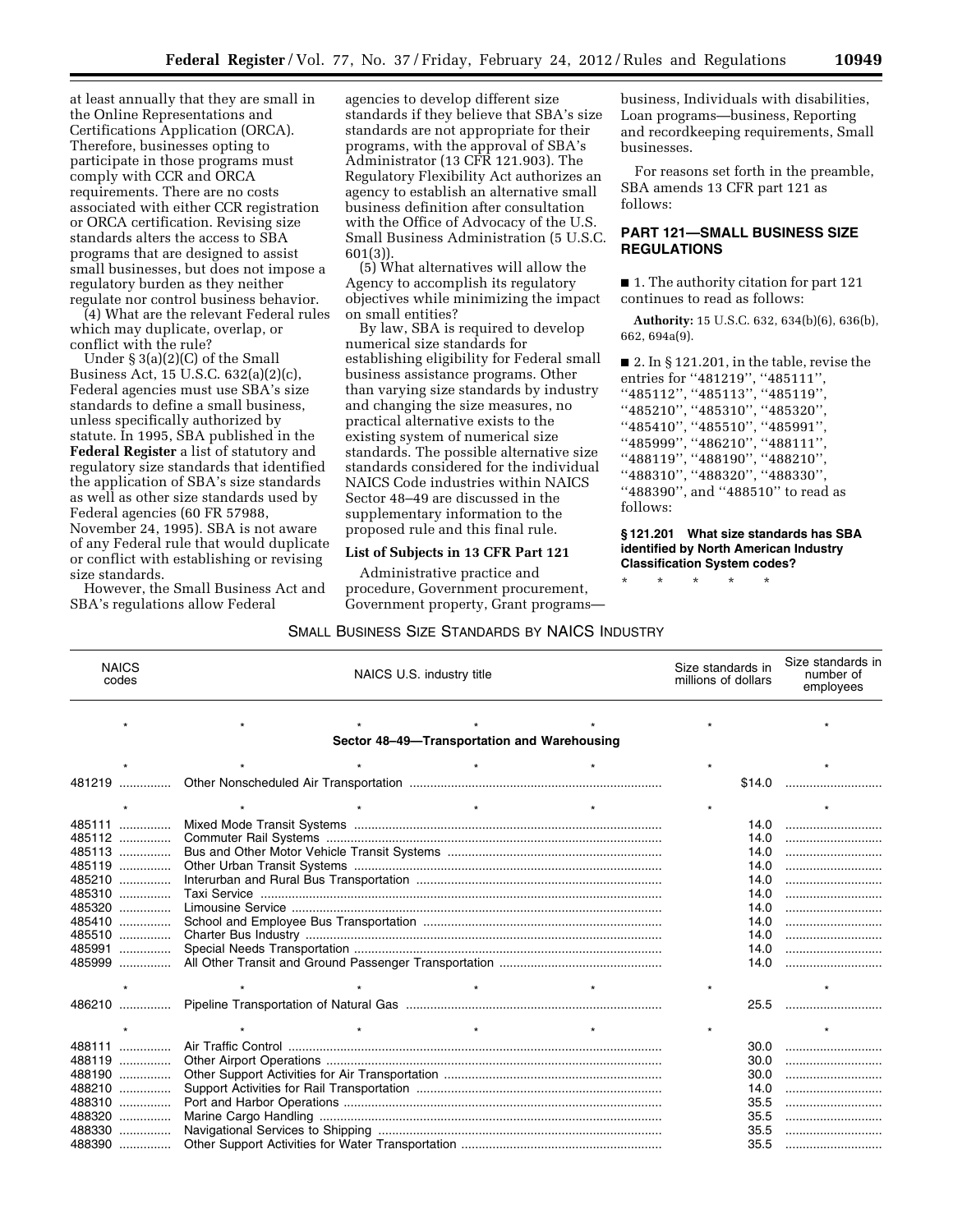at least annually that they are small in the Online Representations and Certifications Application (ORCA). Therefore, businesses opting to participate in those programs must comply with CCR and ORCA requirements. There are no costs associated with either CCR registration or ORCA certification. Revising size standards alters the access to SBA programs that are designed to assist small businesses, but does not impose a regulatory burden as they neither regulate nor control business behavior.

(4) What are the relevant Federal rules which may duplicate, overlap, or conflict with the rule?

Under § 3(a)(2)(C) of the Small Business Act, 15 U.S.C. 632(a)(2)(c), Federal agencies must use SBA's size standards to define a small business, unless specifically authorized by statute. In 1995, SBA published in the **Federal Register** a list of statutory and regulatory size standards that identified the application of SBA's size standards as well as other size standards used by Federal agencies (60 FR 57988, November 24, 1995). SBA is not aware of any Federal rule that would duplicate or conflict with establishing or revising size standards.

However, the Small Business Act and SBA's regulations allow Federal

agencies to develop different size standards if they believe that SBA's size standards are not appropriate for their programs, with the approval of SBA's Administrator (13 CFR 121.903). The Regulatory Flexibility Act authorizes an agency to establish an alternative small business definition after consultation with the Office of Advocacy of the U.S. Small Business Administration (5 U.S.C. 601(3)).

(5) What alternatives will allow the Agency to accomplish its regulatory objectives while minimizing the impact on small entities?

By law, SBA is required to develop numerical size standards for establishing eligibility for Federal small business assistance programs. Other than varying size standards by industry and changing the size measures, no practical alternative exists to the existing system of numerical size standards. The possible alternative size standards considered for the individual NAICS Code industries within NAICS Sector 48–49 are discussed in the supplementary information to the proposed rule and this final rule.

## **List of Subjects in 13 CFR Part 121**

Administrative practice and procedure, Government procurement, Government property, Grant programsbusiness, Individuals with disabilities, Loan programs—business, Reporting and recordkeeping requirements, Small businesses.

For reasons set forth in the preamble, SBA amends 13 CFR part 121 as follows:

# **PART 121—SMALL BUSINESS SIZE REGULATIONS**

■ 1. The authority citation for part 121 continues to read as follows:

**Authority:** 15 U.S.C. 632, 634(b)(6), 636(b), 662, 694a(9).

 $\blacksquare$  2. In § 121.201, in the table, revise the entries for ''481219'', ''485111'', ''485112'', ''485113'', ''485119'', ''485210'', ''485310'', ''485320'', ''485410'', ''485510'', ''485991'', ''485999'', ''486210'', ''488111'', ''488119'', ''488190'', ''488210'', ''488310'', ''488320'', ''488330'', "488390", and "488510" to read as follows:

## **§ 121.201 What size standards has SBA identified by North American Industry Classification System codes?**

\* \* \* \* \*

| <b>NAICS</b><br>codes                       | NAICS U.S. industry title |        | Size standards in<br>Size standards in<br>number of<br>millions of dollars<br>employees |  |  |  |  |  |
|---------------------------------------------|---------------------------|--------|-----------------------------------------------------------------------------------------|--|--|--|--|--|
|                                             |                           |        |                                                                                         |  |  |  |  |  |
| Sector 48-49-Transportation and Warehousing |                           |        |                                                                                         |  |  |  |  |  |
|                                             |                           |        |                                                                                         |  |  |  |  |  |
| 481219                                      |                           | \$14.0 |                                                                                         |  |  |  |  |  |
|                                             |                           |        |                                                                                         |  |  |  |  |  |
| 485111                                      |                           | 14.0   |                                                                                         |  |  |  |  |  |
| 485112                                      |                           | 14.0   |                                                                                         |  |  |  |  |  |
| 485113                                      |                           | 14.0   |                                                                                         |  |  |  |  |  |
| 485119                                      |                           | 14.0   |                                                                                         |  |  |  |  |  |
| 485210                                      |                           | 14.0   |                                                                                         |  |  |  |  |  |
| 485310                                      |                           | 14.0   |                                                                                         |  |  |  |  |  |
| 485320                                      |                           | 14.0   |                                                                                         |  |  |  |  |  |
| 485410                                      |                           | 14.0   |                                                                                         |  |  |  |  |  |
| 485510                                      |                           | 14.0   |                                                                                         |  |  |  |  |  |
| 485991<br>.                                 |                           | 14.0   |                                                                                         |  |  |  |  |  |
| 485999                                      |                           | 14.0   |                                                                                         |  |  |  |  |  |
|                                             |                           |        |                                                                                         |  |  |  |  |  |
| 486210                                      |                           | 25.5   |                                                                                         |  |  |  |  |  |
|                                             |                           |        |                                                                                         |  |  |  |  |  |
| 488111                                      |                           | 30.0   |                                                                                         |  |  |  |  |  |
| 488119                                      |                           | 30.0   |                                                                                         |  |  |  |  |  |
| 488190<br>.                                 |                           | 30.0   |                                                                                         |  |  |  |  |  |
| 488210<br>.                                 |                           | 14.0   |                                                                                         |  |  |  |  |  |
| 488310<br>.                                 |                           | 35.5   |                                                                                         |  |  |  |  |  |
| 488320<br>.                                 |                           | 35.5   |                                                                                         |  |  |  |  |  |
| 488330<br>.                                 |                           | 35.5   |                                                                                         |  |  |  |  |  |
| 488390                                      |                           | 35.5   |                                                                                         |  |  |  |  |  |

# SMALL BUSINESS SIZE STANDARDS BY NAICS INDUSTRY